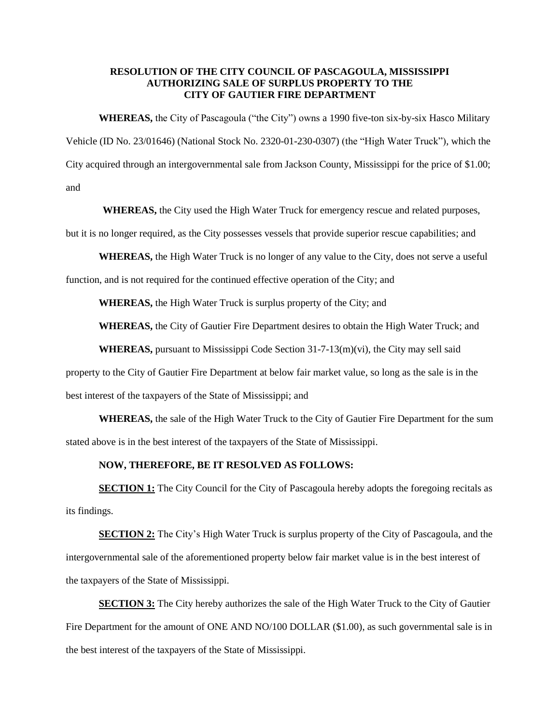## **RESOLUTION OF THE CITY COUNCIL OF PASCAGOULA, MISSISSIPPI AUTHORIZING SALE OF SURPLUS PROPERTY TO THE CITY OF GAUTIER FIRE DEPARTMENT**

**WHEREAS,** the City of Pascagoula ("the City") owns a 1990 five-ton six-by-six Hasco Military Vehicle (ID No. 23/01646) (National Stock No. 2320-01-230-0307) (the "High Water Truck"), which the City acquired through an intergovernmental sale from Jackson County, Mississippi for the price of \$1.00; and

**WHEREAS,** the City used the High Water Truck for emergency rescue and related purposes,

but it is no longer required, as the City possesses vessels that provide superior rescue capabilities; and

**WHEREAS,** the High Water Truck is no longer of any value to the City, does not serve a useful

function, and is not required for the continued effective operation of the City; and

**WHEREAS,** the High Water Truck is surplus property of the City; and

**WHEREAS,** the City of Gautier Fire Department desires to obtain the High Water Truck; and

**WHEREAS,** pursuant to Mississippi Code Section 31-7-13(m)(vi), the City may sell said

property to the City of Gautier Fire Department at below fair market value, so long as the sale is in the best interest of the taxpayers of the State of Mississippi; and

**WHEREAS,** the sale of the High Water Truck to the City of Gautier Fire Department for the sum stated above is in the best interest of the taxpayers of the State of Mississippi.

## **NOW, THEREFORE, BE IT RESOLVED AS FOLLOWS:**

**SECTION 1:** The City Council for the City of Pascagoula hereby adopts the foregoing recitals as its findings.

**SECTION 2:** The City's High Water Truck is surplus property of the City of Pascagoula, and the intergovernmental sale of the aforementioned property below fair market value is in the best interest of the taxpayers of the State of Mississippi.

**SECTION 3:** The City hereby authorizes the sale of the High Water Truck to the City of Gautier Fire Department for the amount of ONE AND NO/100 DOLLAR (\$1.00), as such governmental sale is in the best interest of the taxpayers of the State of Mississippi.